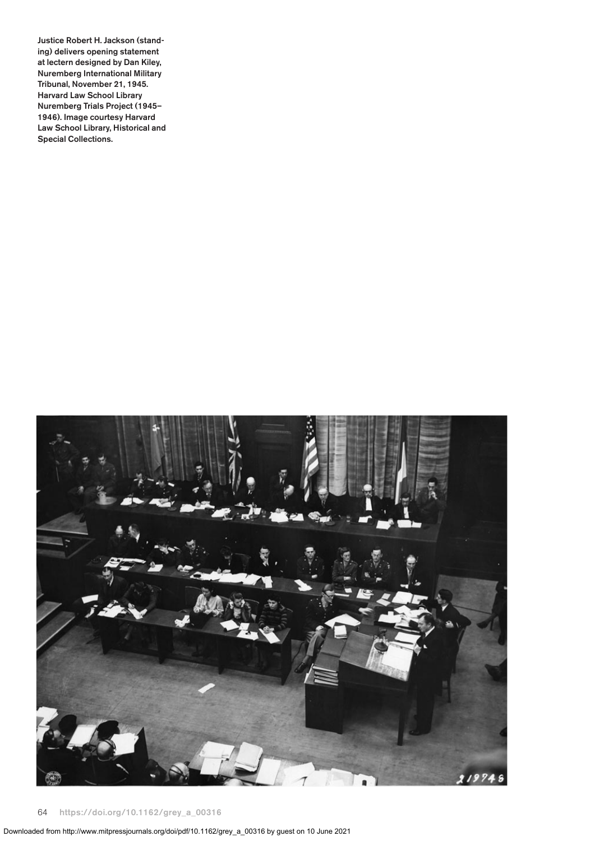**Justice Robert H. Jackson (standing) delivers opening statement at lectern designed by Dan Kiley, Nuremberg International Military Tribunal, November 21, 1945. Harvard Law School Library Nuremberg Trials Project (1945– 1946). Image courtesy Harvard Law School Library, Historical and Special Collections.**

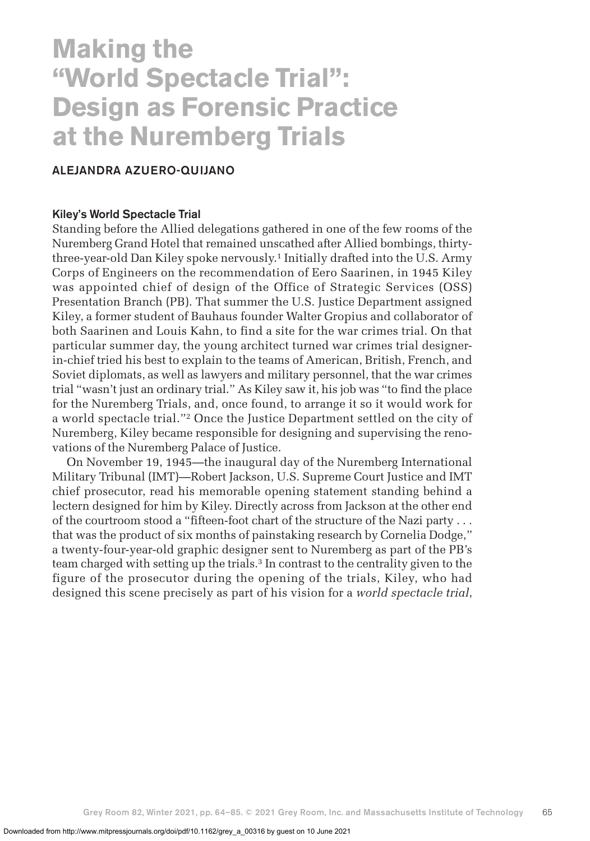# **Making the "World Spectacle Trial": Design as Forensic Practice at the Nuremberg Trials**

## **ALEJANDRA AZUERO-QUIJANO**

#### **Kiley's World Spectacle Trial**

Standing before the Allied delegations gathered in one of the few rooms of the Nuremberg Grand Hotel that remained unscathed after Allied bombings, thirtythree-year-old Dan Kiley spoke nervously.1 Initially drafted into the U.S. Army Corps of Engineers on the recommendation of Eero Saarinen, in 1945 Kiley was appointed chief of design of the Office of Strategic Services (OSS) Presentation Branch (PB). That summer the U.S. Justice Department assigned Kiley, a former student of Bauhaus founder Walter Gropius and collaborator of both Saarinen and Louis Kahn, to find a site for the war crimes trial. On that particular summer day, the young architect turned war crimes trial designerin-chief tried his best to explain to the teams of American, British, French, and Soviet diplomats, as well as lawyers and military personnel, that the war crimes trial "wasn't just an ordinary trial." As Kiley saw it, his job was "to find the place for the Nuremberg Trials, and, once found, to arrange it so it would work for a world spectacle trial."2 Once the Justice Department settled on the city of Nuremberg, Kiley became responsible for designing and supervising the renovations of the Nuremberg Palace of Justice.

On November 19, 1945—the inaugural day of the Nuremberg International Military Tribunal (IMT)—Robert Jackson, U.S. Supreme Court Justice and IMT chief prosecutor, read his memorable opening statement standing behind a lectern designed for him by Kiley. Directly across from Jackson at the other end of the courtroom stood a "fifteen-foot chart of the structure of the Nazi party . . . that was the product of six months of painstaking research by Cornelia Dodge," a twenty-four-year-old graphic designer sent to Nuremberg as part of the PB's team charged with setting up the trials.3 In contrast to the centrality given to the figure of the prosecutor during the opening of the trials, Kiley, who had designed this scene precisely as part of his vision for a *world spectacle trial*,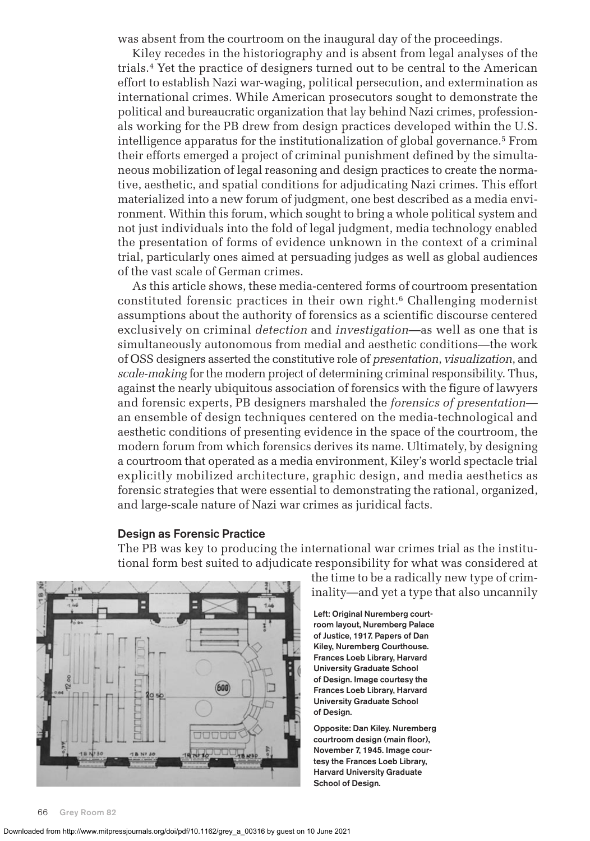was absent from the courtroom on the inaugural day of the proceedings.

Kiley recedes in the historiography and is absent from legal analyses of the trials.4 Yet the practice of designers turned out to be central to the American effort to establish Nazi war-waging, political persecution, and extermination as international crimes. While American prosecutors sought to demonstrate the political and bureaucratic organization that lay behind Nazi crimes, professionals working for the PB drew from design practices developed within the U.S. intelligence apparatus for the institutionalization of global governance.5 From their efforts emerged a project of criminal punishment defined by the simultaneous mobilization of legal reasoning and design practices to create the normative, aesthetic, and spatial conditions for adjudicating Nazi crimes. This effort materialized into a new forum of judgment, one best described as a media environment. Within this forum, which sought to bring a whole political system and not just individuals into the fold of legal judgment, media technology enabled the presentation of forms of evidence unknown in the context of a criminal trial, particularly ones aimed at persuading judges as well as global audiences of the vast scale of German crimes.

As this article shows, these media-centered forms of courtroom presentation constituted forensic practices in their own right.<sup>6</sup> Challenging modernist assumptions about the authority of forensics as a scientific discourse centered exclusively on criminal *detection* and *investigation*—as well as one that is simultaneously autonomous from medial and aesthetic conditions—the work of OSS designers asserted the constitutive role of *presentation*, *visualization*, and *scale-making* for the modern project of determining criminal responsibility. Thus, against the nearly ubiquitous association of forensics with the figure of lawyers and forensic experts, PB designers marshaled the *forensics of presentation* an ensemble of design techniques centered on the media-technological and aesthetic conditions of presenting evidence in the space of the courtroom, the modern forum from which forensics derives its name*.* Ultimately, by designing a courtroom that operated as a media environment, Kiley's world spectacle trial explicitly mobilized architecture, graphic design, and media aesthetics as forensic strategies that were essential to demonstrating the rational, organized, and large-scale nature of Nazi war crimes as juridical facts.

#### **Design as Forensic Practice**

The PB was key to producing the international war crimes trial as the institutional form best suited to adjudicate responsibility for what was considered at



the time to be a radically new type of criminality—and yet a type that also uncannily

**Left: Original Nuremberg courtroom layout, Nuremberg Palace of Justice, 1917. Papers of Dan Kiley, Nuremberg Courthouse. Frances Loeb Library, Harvard University Graduate School of Design. Image courtesy the Frances Loeb Library, Harvard University Graduate School of Design.**

**Opposite: Dan Kiley. Nuremberg courtroom design (main floor), November 7, 1945. Image courtesy the Frances Loeb Library, Harvard University Graduate School of Design.**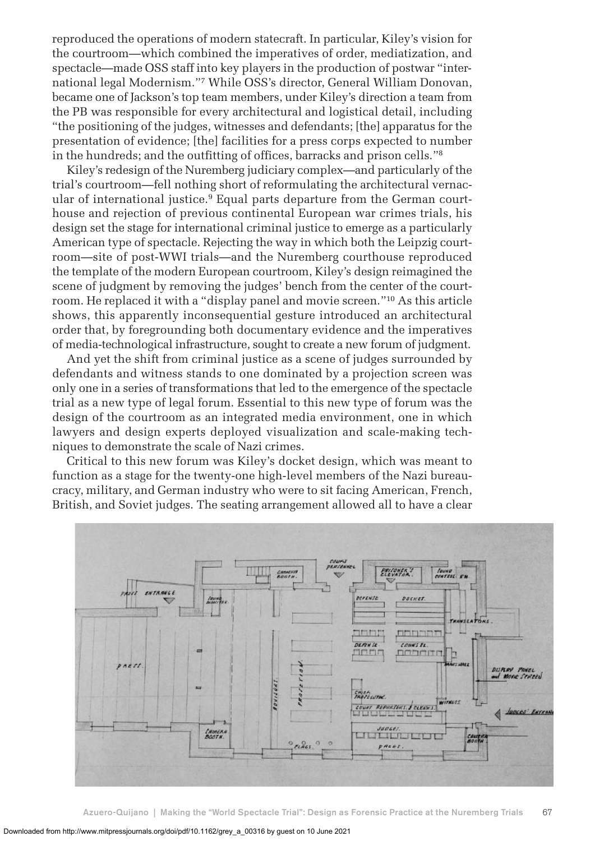reproduced the operations of modern statecraft. In particular, Kiley's vision for the courtroom—which combined the imperatives of order, mediatization, and spectacle—made OSS staff into key players in the production of postwar "international legal Modernism."7 While OSS's director, General William Donovan, became one of Jackson's top team members, under Kiley's direction a team from the PB was responsible for every architectural and logistical detail, including "the positioning of the judges, witnesses and defendants; [the] apparatus for the presentation of evidence; [the] facilities for a press corps expected to number in the hundreds; and the outfitting of offices, barracks and prison cells."8

Kiley's redesign of the Nuremberg judiciary complex—and particularly of the trial's courtroom—fell nothing short of reformulating the architectural vernacular of international justice.<sup>9</sup> Equal parts departure from the German courthouse and rejection of previous continental European war crimes trials, his design set the stage for international criminal justice to emerge as a particularly American type of spectacle. Rejecting the way in which both the Leipzig courtroom—site of post-WWI trials—and the Nuremberg courthouse reproduced the template of the modern European courtroom, Kiley's design reimagined the scene of judgment by removing the judges' bench from the center of the courtroom. He replaced it with a "display panel and movie screen."10 As this article shows, this apparently inconsequential gesture introduced an architectural order that, by foregrounding both documentary evidence and the imperatives of media-technological infrastructure, sought to create a new forum of judgment.

And yet the shift from criminal justice as a scene of judges surrounded by defendants and witness stands to one dominated by a projection screen was only one in a series of transformations that led to the emergence of the spectacle trial as a new type of legal forum. Essential to this new type of forum was the design of the courtroom as an integrated media environment, one in which lawyers and design experts deployed visualization and scale-making techniques to demonstrate the scale of Nazi crimes.

Critical to this new forum was Kiley's docket design, which was meant to function as a stage for the twenty-one high-level members of the Nazi bureaucracy, military, and German industry who were to sit facing American, French, British, and Soviet judges. The seating arrangement allowed all to have a clear

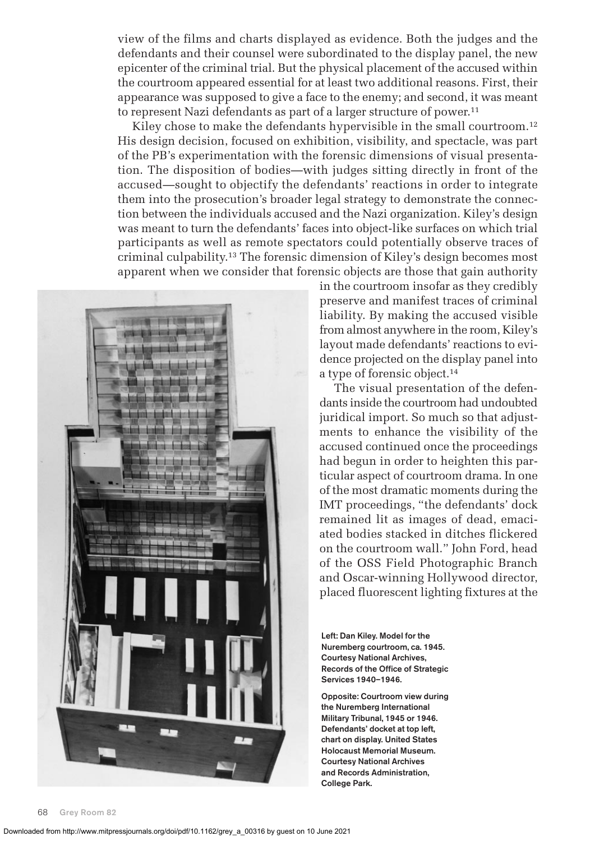view of the films and charts displayed as evidence. Both the judges and the defendants and their counsel were subordinated to the display panel, the new epicenter of the criminal trial. But the physical placement of the accused within the courtroom appeared essential for at least two additional reasons. First, their appearance was supposed to give a face to the enemy; and second, it was meant to represent Nazi defendants as part of a larger structure of power.<sup>11</sup>

Kiley chose to make the defendants hypervisible in the small courtroom.<sup>12</sup> His design decision, focused on exhibition, visibility, and spectacle, was part of the PB's experimentation with the forensic dimensions of visual presentation. The disposition of bodies—with judges sitting directly in front of the accused—sought to objectify the defendants' reactions in order to integrate them into the prosecution's broader legal strategy to demonstrate the connection between the individuals accused and the Nazi organization. Kiley's design was meant to turn the defendants' faces into object-like surfaces on which trial participants as well as remote spectators could potentially observe traces of criminal culpability.13 The forensic dimension of Kiley's design becomes most apparent when we consider that forensic objects are those that gain authority



in the courtroom insofar as they credibly preserve and manifest traces of criminal liability. By making the accused visible from almost anywhere in the room, Kiley's layout made defendants' reactions to evidence projected on the display panel into a type of forensic object.14

The visual presentation of the defendants inside the courtroom had undoubted juridical import. So much so that adjustments to enhance the visibility of the accused continued once the proceedings had begun in order to heighten this particular aspect of courtroom drama. In one of the most dramatic moments during the IMT proceedings, "the defendants' dock remained lit as images of dead, emaciated bodies stacked in ditches flickered on the courtroom wall." John Ford, head of the OSS Field Photographic Branch and Oscar-winning Hollywood director, placed fluorescent lighting fixtures at the

**Left: Dan Kiley. Model for the Nuremberg courtroom, ca. 1945. Courtesy National Archives, Records of the Office of Strategic Services 1940–1946.**

**Opposite: Courtroom view during the Nuremberg International Military Tribunal, 1945 or 1946. Defendants' docket at top left, chart on display. United States Holocaust Memorial Museum. Courtesy National Archives and Records Administration, College Park.**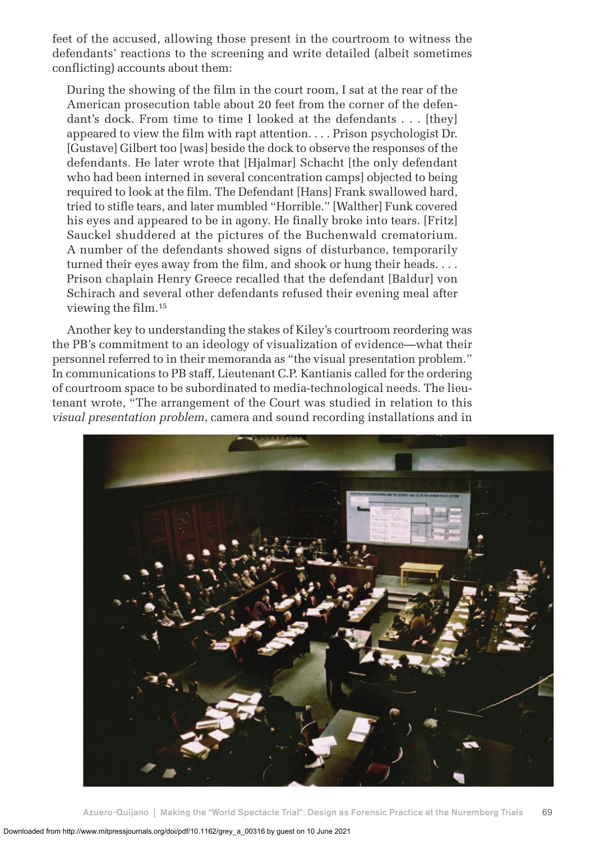feet of the accused, allowing those present in the courtroom to witness the defendants' reactions to the screening and write detailed (albeit sometimes conflicting) accounts about them:

During the showing of the film in the court room, I sat at the rear of the American prosecution table about 20 feet from the corner of the defendant's dock. From time to time I looked at the defendants . . . [they] appeared to view the film with rapt attention. . . . Prison psychologist Dr. [Gustave] Gilbert too [was] beside the dock to observe the responses of the defendants. He later wrote that [Hjalmar] Schacht [the only defendant who had been interned in several concentration camps] objected to being required to look at the film. The Defendant [Hans] Frank swallowed hard, tried to stifle tears, and later mumbled "Horrible." [Walther] Funk covered his eyes and appeared to be in agony. He finally broke into tears. [Fritz] Sauckel shuddered at the pictures of the Buchenwald crematorium. A number of the defendants showed signs of disturbance, temporarily turned their eyes away from the film, and shook or hung their heads. . . . Prison chaplain Henry Greece recalled that the defendant [Baldur] von Schirach and several other defendants refused their evening meal after viewing the film.15

Another key to understanding the stakes of Kiley's courtroom reordering was the PB's commitment to an ideology of visualization of evidence—what their personnel referred to in their memoranda as "the visual presentation problem." In communications to PB staff, Lieutenant C.P. Kantianis called for the ordering of courtroom space to be subordinated to media-technological needs. The lieutenant wrote, "The arrangement of the Court was studied in relation to this *visual presentation problem*, camera and sound recording installations and in

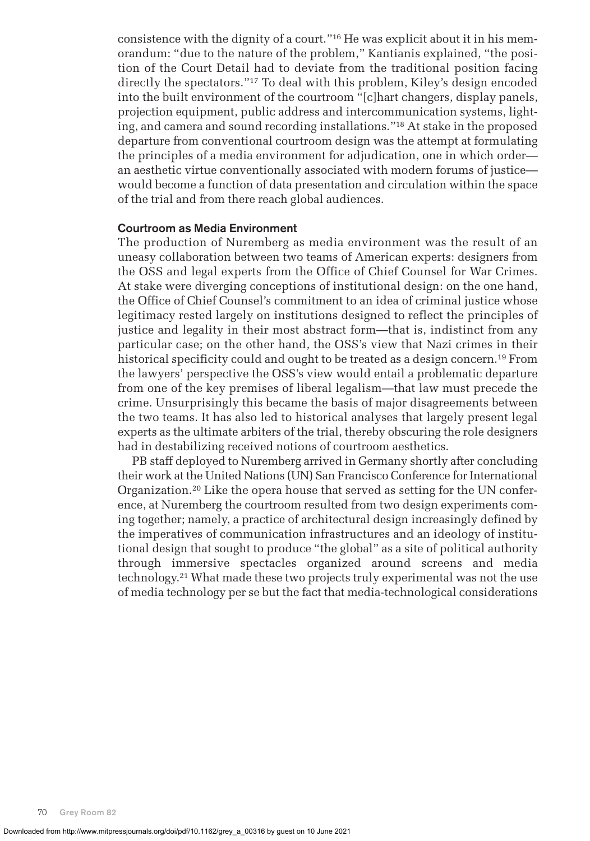consistence with the dignity of a court."16 He was explicit about it in his memorandum: "due to the nature of the problem," Kantianis explained, "the position of the Court Detail had to deviate from the traditional position facing directly the spectators."17 To deal with this problem, Kiley's design encoded into the built environment of the courtroom "[c]hart changers, display panels, projection equipment, public address and intercommunication systems, lighting, and camera and sound recording installations."18 At stake in the proposed departure from conventional courtroom design was the attempt at formulating the principles of a media environment for adjudication, one in which order an aesthetic virtue conventionally associated with modern forums of justice would become a function of data presentation and circulation within the space of the trial and from there reach global audiences.

### **Courtroom as Media Environment**

The production of Nuremberg as media environment was the result of an uneasy collaboration between two teams of American experts: designers from the OSS and legal experts from the Office of Chief Counsel for War Crimes. At stake were diverging conceptions of institutional design: on the one hand, the Office of Chief Counsel's commitment to an idea of criminal justice whose legitimacy rested largely on institutions designed to reflect the principles of justice and legality in their most abstract form—that is, indistinct from any particular case; on the other hand, the OSS's view that Nazi crimes in their historical specificity could and ought to be treated as a design concern.19 From the lawyers' perspective the OSS's view would entail a problematic departure from one of the key premises of liberal legalism—that law must precede the crime. Unsurprisingly this became the basis of major disagreements between the two teams. It has also led to historical analyses that largely present legal experts as the ultimate arbiters of the trial, thereby obscuring the role designers had in destabilizing received notions of courtroom aesthetics.

PB staff deployed to Nuremberg arrived in Germany shortly after concluding their work at the United Nations (UN) San Francisco Conference for International Organization.20 Like the opera house that served as setting for the UN conference, at Nuremberg the courtroom resulted from two design experiments coming together; namely, a practice of architectural design increasingly defined by the imperatives of communication infrastructures and an ideology of institutional design that sought to produce "the global" as a site of political authority through immersive spectacles organized around screens and media technology.21 What made these two projects truly experimental was not the use of media technology per se but the fact that media-technological considerations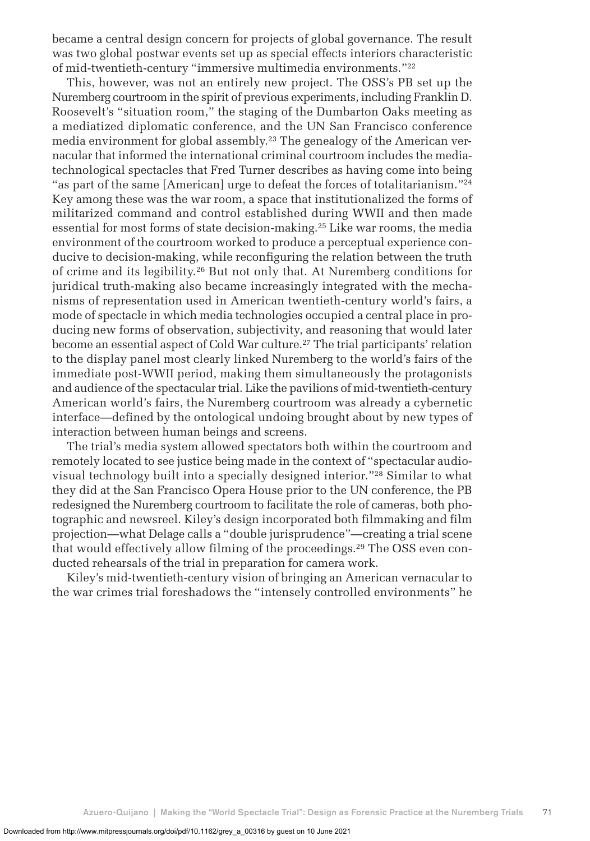became a central design concern for projects of global governance. The result was two global postwar events set up as special effects interiors characteristic of mid-twentieth-century "immersive multimedia environments."22

This, however, was not an entirely new project. The OSS's PB set up the Nuremberg courtroom in the spirit of previous experiments, including Franklin D. Roosevelt's "situation room," the staging of the Dumbarton Oaks meeting as a mediatized diplomatic conference, and the UN San Francisco conference media environment for global assembly.<sup>23</sup> The genealogy of the American vernacular that informed the international criminal courtroom includes the mediatechnological spectacles that Fred Turner describes as having come into being "as part of the same [American] urge to defeat the forces of totalitarianism."<sup>24</sup> Key among these was the war room, a space that institutionalized the forms of militarized command and control established during WWII and then made essential for most forms of state decision-making.25 Like war rooms, the media environment of the courtroom worked to produce a perceptual experience conducive to decision-making, while reconfiguring the relation between the truth of crime and its legibility.26 But not only that. At Nuremberg conditions for juridical truth-making also became increasingly integrated with the mechanisms of representation used in American twentieth-century world's fairs, a mode of spectacle in which media technologies occupied a central place in producing new forms of observation, subjectivity, and reasoning that would later become an essential aspect of Cold War culture.<sup>27</sup> The trial participants' relation to the display panel most clearly linked Nuremberg to the world's fairs of the immediate post-WWII period, making them simultaneously the protagonists and audience of the spectacular trial. Like the pavilions of mid-twentieth-century American world's fairs, the Nuremberg courtroom was already a cybernetic interface—defined by the ontological undoing brought about by new types of interaction between human beings and screens.

The trial's media system allowed spectators both within the courtroom and remotely located to see justice being made in the context of "spectacular audiovisual technology built into a specially designed interior."28 Similar to what they did at the San Francisco Opera House prior to the UN conference, the PB redesigned the Nuremberg courtroom to facilitate the role of cameras, both photographic and newsreel. Kiley's design incorporated both filmmaking and film projection—what Delage calls a "double jurisprudence"—creating a trial scene that would effectively allow filming of the proceedings.<sup>29</sup> The OSS even conducted rehearsals of the trial in preparation for camera work.

Kiley's mid-twentieth-century vision of bringing an American vernacular to the war crimes trial foreshadows the "intensely controlled environments" he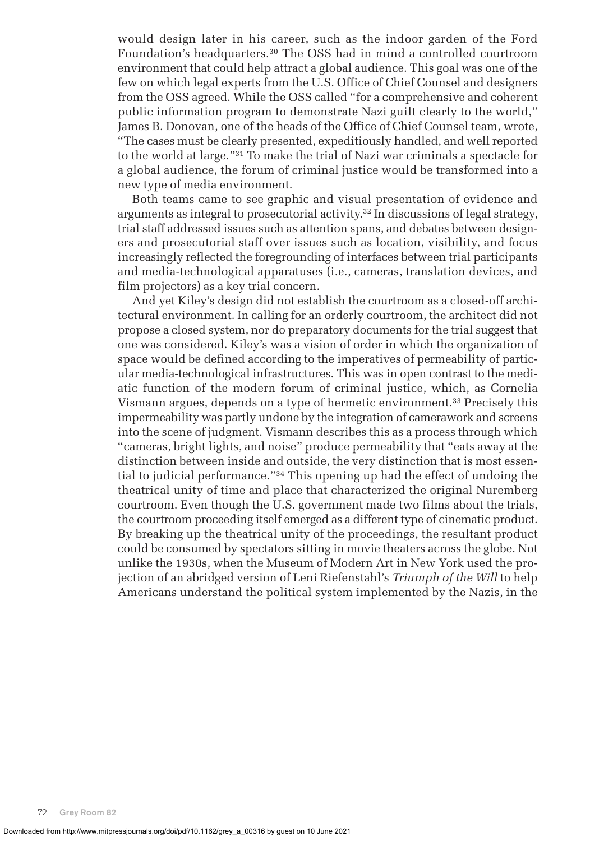would design later in his career, such as the indoor garden of the Ford Foundation's headquarters.30 The OSS had in mind a controlled courtroom environment that could help attract a global audience. This goal was one of the few on which legal experts from the U.S. Office of Chief Counsel and designers from the OSS agreed. While the OSS called "for a comprehensive and coherent public information program to demonstrate Nazi guilt clearly to the world," James B. Donovan, one of the heads of the Office of Chief Counsel team, wrote, "The cases must be clearly presented, expeditiously handled, and well reported to the world at large."31 To make the trial of Nazi war criminals a spectacle for a global audience, the forum of criminal justice would be transformed into a new type of media environment.

Both teams came to see graphic and visual presentation of evidence and arguments as integral to prosecutorial activity.32 In discussions of legal strategy, trial staff addressed issues such as attention spans, and debates between designers and prosecutorial staff over issues such as location, visibility, and focus increasingly reflected the foregrounding of interfaces between trial participants and media-technological apparatuses (i.e., cameras, translation devices, and film projectors) as a key trial concern.

And yet Kiley's design did not establish the courtroom as a closed-off architectural environment. In calling for an orderly courtroom, the architect did not propose a closed system, nor do preparatory documents for the trial suggest that one was considered. Kiley's was a vision of order in which the organization of space would be defined according to the imperatives of permeability of particular media-technological infrastructures. This was in open contrast to the mediatic function of the modern forum of criminal justice, which, as Cornelia Vismann argues, depends on a type of hermetic environment.33 Precisely this impermeability was partly undone by the integration of camerawork and screens into the scene of judgment. Vismann describes this as a process through which "cameras, bright lights, and noise" produce permeability that "eats away at the distinction between inside and outside, the very distinction that is most essential to judicial performance."34 This opening up had the effect of undoing the theatrical unity of time and place that characterized the original Nuremberg courtroom. Even though the U.S. government made two films about the trials, the courtroom proceeding itself emerged as a different type of cinematic product. By breaking up the theatrical unity of the proceedings, the resultant product could be consumed by spectators sitting in movie theaters across the globe. Not unlike the 1930s, when the Museum of Modern Art in New York used the projection of an abridged version of Leni Riefenstahl's *Triumph of the Will* to help Americans understand the political system implemented by the Nazis, in the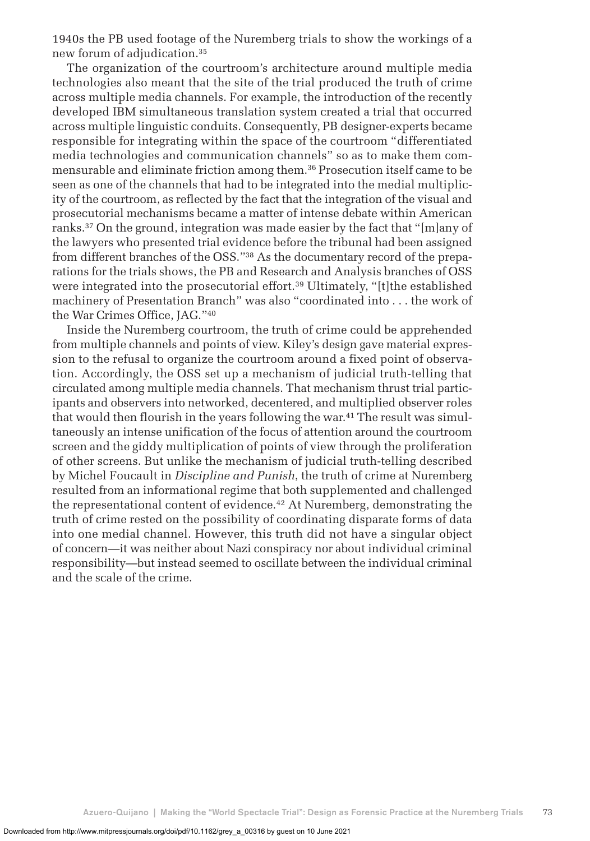1940s the PB used footage of the Nuremberg trials to show the workings of a new forum of adjudication.35

The organization of the courtroom's architecture around multiple media technologies also meant that the site of the trial produced the truth of crime across multiple media channels. For example, the introduction of the recently developed IBM simultaneous translation system created a trial that occurred across multiple linguistic conduits. Consequently, PB designer-experts became responsible for integrating within the space of the courtroom "differentiated media technologies and communication channels" so as to make them commensurable and eliminate friction among them.36 Prosecution itself came to be seen as one of the channels that had to be integrated into the medial multiplicity of the courtroom, as reflected by the fact that the integration of the visual and prosecutorial mechanisms became a matter of intense debate within American ranks.37 On the ground, integration was made easier by the fact that "[m]any of the lawyers who presented trial evidence before the tribunal had been assigned from different branches of the OSS."38 As the documentary record of the preparations for the trials shows, the PB and Research and Analysis branches of OSS were integrated into the prosecutorial effort.<sup>39</sup> Ultimately, "[t]the established machinery of Presentation Branch" was also "coordinated into . . . the work of the War Crimes Office, JAG."40

Inside the Nuremberg courtroom, the truth of crime could be apprehended from multiple channels and points of view. Kiley's design gave material expression to the refusal to organize the courtroom around a fixed point of observation. Accordingly, the OSS set up a mechanism of judicial truth-telling that circulated among multiple media channels. That mechanism thrust trial participants and observers into networked, decentered, and multiplied observer roles that would then flourish in the years following the war.<sup>41</sup> The result was simultaneously an intense unification of the focus of attention around the courtroom screen and the giddy multiplication of points of view through the proliferation of other screens. But unlike the mechanism of judicial truth-telling described by Michel Foucault in *Discipline and Punish*, the truth of crime at Nuremberg resulted from an informational regime that both supplemented and challenged the representational content of evidence.<sup>42</sup> At Nuremberg, demonstrating the truth of crime rested on the possibility of coordinating disparate forms of data into one medial channel. However, this truth did not have a singular object of concern—it was neither about Nazi conspiracy nor about individual criminal responsibility—but instead seemed to oscillate between the individual criminal and the scale of the crime.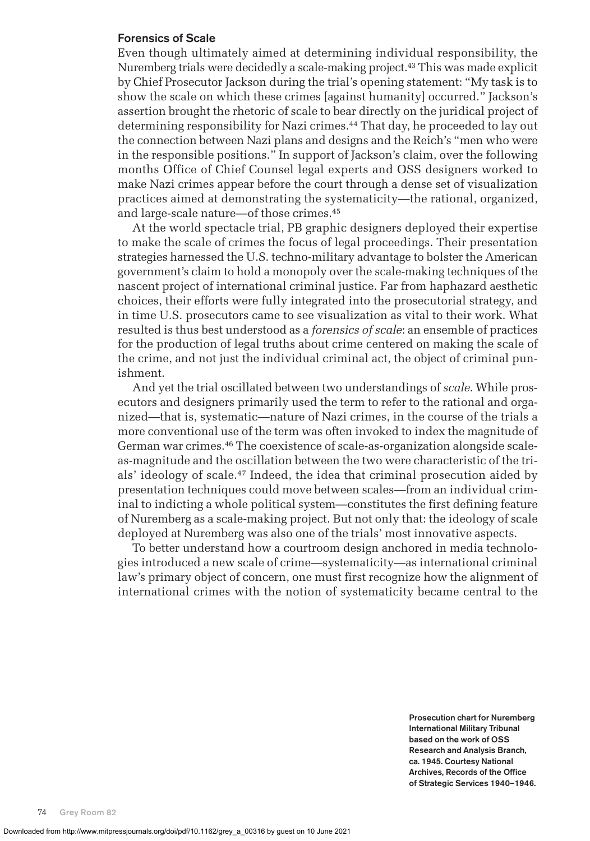#### **Forensics of Scale**

Even though ultimately aimed at determining individual responsibility, the Nuremberg trials were decidedly a scale-making project.43 This was made explicit by Chief Prosecutor Jackson during the trial's opening statement: "My task is to show the scale on which these crimes [against humanity] occurred." Jackson's assertion brought the rhetoric of scale to bear directly on the juridical project of determining responsibility for Nazi crimes.44 That day, he proceeded to lay out the connection between Nazi plans and designs and the Reich's "men who were in the responsible positions." In support of Jackson's claim, over the following months Office of Chief Counsel legal experts and OSS designers worked to make Nazi crimes appear before the court through a dense set of visualization practices aimed at demonstrating the systematicity—the rational, organized, and large-scale nature—of those crimes.45

At the world spectacle trial, PB graphic designers deployed their expertise to make the scale of crimes the focus of legal proceedings. Their presentation strategies harnessed the U.S. techno-military advantage to bolster the American government's claim to hold a monopoly over the scale-making techniques of the nascent project of international criminal justice. Far from haphazard aesthetic choices, their efforts were fully integrated into the prosecutorial strategy, and in time U.S. prosecutors came to see visualization as vital to their work. What resulted is thus best understood as a *forensics of scale*: an ensemble of practices for the production of legal truths about crime centered on making the scale of the crime, and not just the individual criminal act, the object of criminal punishment.

And yet the trial oscillated between two understandings of *scale*. While prosecutors and designers primarily used the term to refer to the rational and organized—that is, systematic—nature of Nazi crimes, in the course of the trials a more conventional use of the term was often invoked to index the magnitude of German war crimes.46 The coexistence of scale-as-organization alongside scaleas-magnitude and the oscillation between the two were characteristic of the trials' ideology of scale.47 Indeed, the idea that criminal prosecution aided by presentation techniques could move between scales—from an individual criminal to indicting a whole political system—constitutes the first defining feature of Nuremberg as a scale-making project. But not only that: the ideology of scale deployed at Nuremberg was also one of the trials' most innovative aspects.

To better understand how a courtroom design anchored in media technologies introduced a new scale of crime—systematicity—as international criminal law's primary object of concern, one must first recognize how the alignment of international crimes with the notion of systematicity became central to the

> **Prosecution chart for Nuremberg International Military Tribunal based on the work of OSS Research and Analysis Branch, ca. 1945. Courtesy National Archives, Records of the Office of Strategic Services 1940–1946.**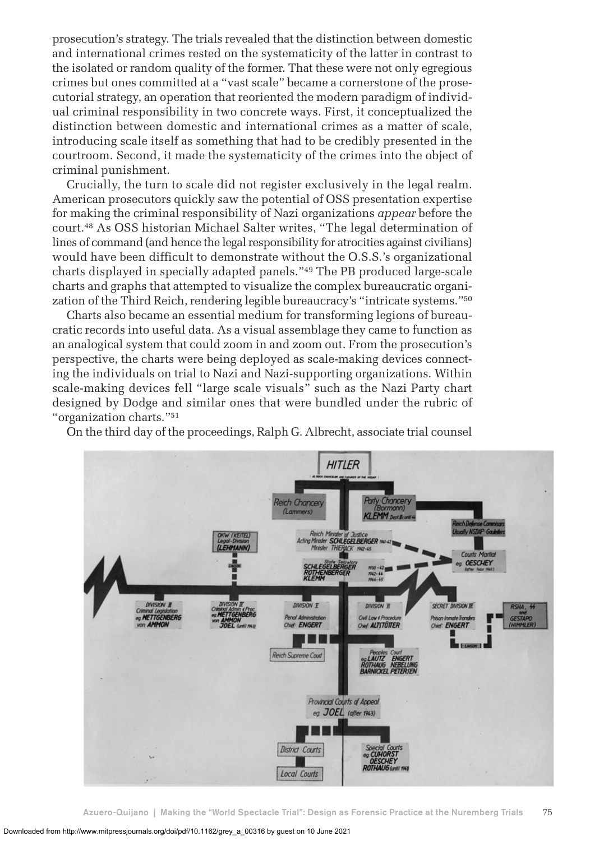prosecution's strategy. The trials revealed that the distinction between domestic and international crimes rested on the systematicity of the latter in contrast to the isolated or random quality of the former. That these were not only egregious crimes but ones committed at a "vast scale" became a cornerstone of the prosecutorial strategy, an operation that reoriented the modern paradigm of individual criminal responsibility in two concrete ways. First, it conceptualized the distinction between domestic and international crimes as a matter of scale, introducing scale itself as something that had to be credibly presented in the courtroom. Second, it made the systematicity of the crimes into the object of criminal punishment.

Crucially, the turn to scale did not register exclusively in the legal realm. American prosecutors quickly saw the potential of OSS presentation expertise for making the criminal responsibility of Nazi organizations *appear* before the court.48 As OSS historian Michael Salter writes, "The legal determination of lines of command (and hence the legal responsibility for atrocities against civilians) would have been difficult to demonstrate without the O.S.S.'s organizational charts displayed in specially adapted panels."49 The PB produced large-scale charts and graphs that attempted to visualize the complex bureaucratic organization of the Third Reich, rendering legible bureaucracy's "intricate systems."50

Charts also became an essential medium for transforming legions of bureaucratic records into useful data. As a visual assemblage they came to function as an analogical system that could zoom in and zoom out. From the prosecution's perspective, the charts were being deployed as scale-making devices connecting the individuals on trial to Nazi and Nazi-supporting organizations. Within scale-making devices fell "large scale visuals" such as the Nazi Party chart designed by Dodge and similar ones that were bundled under the rubric of "organization charts."51

On the third day of the proceedings, Ralph G. Albrecht, associate trial counsel

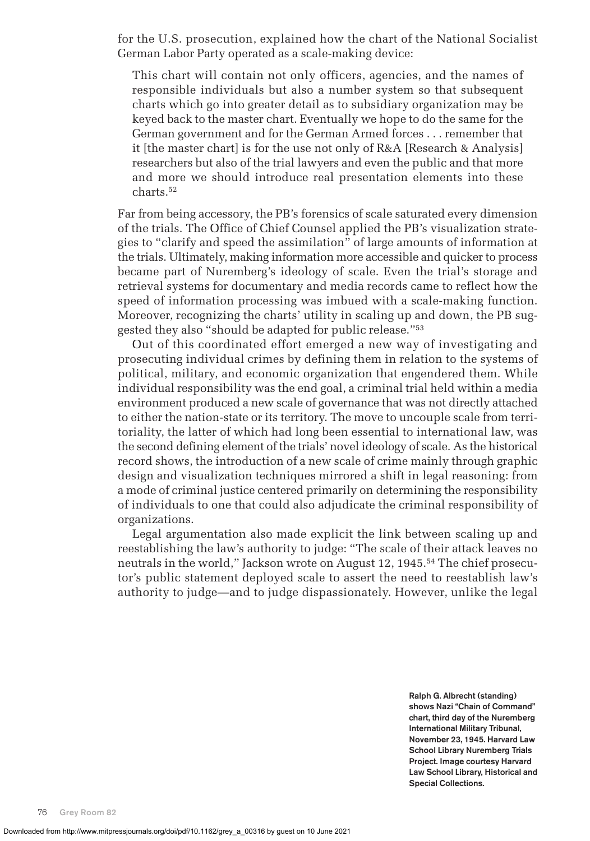for the U.S. prosecution, explained how the chart of the National Socialist German Labor Party operated as a scale-making device:

This chart will contain not only officers, agencies, and the names of responsible individuals but also a number system so that subsequent charts which go into greater detail as to subsidiary organization may be keyed back to the master chart. Eventually we hope to do the same for the German government and for the German Armed forces . . . remember that it [the master chart] is for the use not only of R&A [Research & Analysis] researchers but also of the trial lawyers and even the public and that more and more we should introduce real presentation elements into these charts.52

Far from being accessory, the PB's forensics of scale saturated every dimension of the trials. The Office of Chief Counsel applied the PB's visualization strategies to "clarify and speed the assimilation" of large amounts of information at the trials. Ultimately, making information more accessible and quicker to process became part of Nuremberg's ideology of scale. Even the trial's storage and retrieval systems for documentary and media records came to reflect how the speed of information processing was imbued with a scale-making function. Moreover, recognizing the charts' utility in scaling up and down, the PB suggested they also "should be adapted for public release."53

Out of this coordinated effort emerged a new way of investigating and prosecuting individual crimes by defining them in relation to the systems of political, military, and economic organization that engendered them. While individual responsibility was the end goal, a criminal trial held within a media environment produced a new scale of governance that was not directly attached to either the nation-state or its territory. The move to uncouple scale from territoriality, the latter of which had long been essential to international law, was the second defining element of the trials' novel ideology of scale. As the historical record shows, the introduction of a new scale of crime mainly through graphic design and visualization techniques mirrored a shift in legal reasoning: from a mode of criminal justice centered primarily on determining the responsibility of individuals to one that could also adjudicate the criminal responsibility of organizations.

Legal argumentation also made explicit the link between scaling up and reestablishing the law's authority to judge: "The scale of their attack leaves no neutrals in the world," Jackson wrote on August 12, 1945.54 The chief prosecutor's public statement deployed scale to assert the need to reestablish law's authority to judge—and to judge dispassionately. However, unlike the legal

> **Ralph G. Albrecht (standing) shows Nazi "Chain of Command" chart, third day of the Nuremberg International Military Tribunal, November 23, 1945. Harvard Law School Library Nuremberg Trials Project. Image courtesy Harvard Law School Library, Historical and Special Collections.**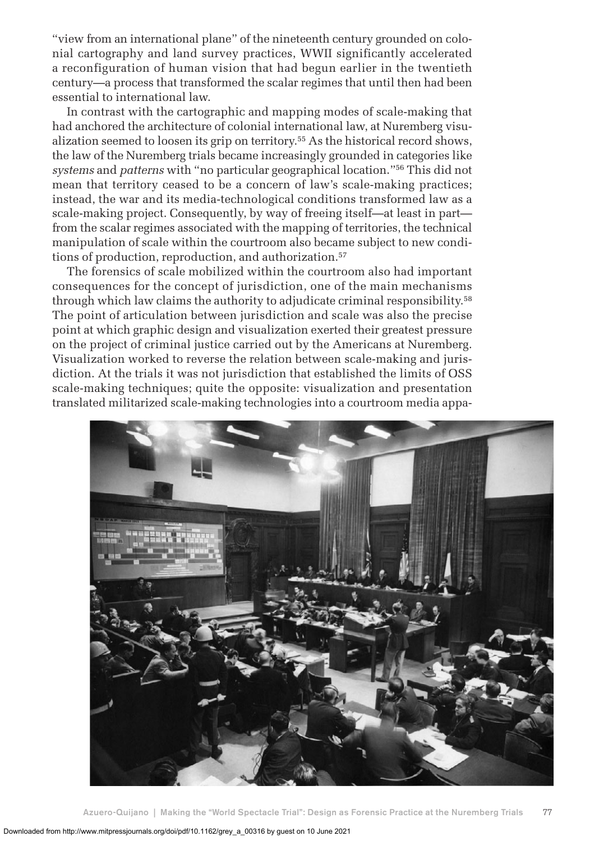"view from an international plane" of the nineteenth century grounded on colonial cartography and land survey practices, WWII significantly accelerated a reconfiguration of human vision that had begun earlier in the twentieth century—a process that transformed the scalar regimes that until then had been essential to international law.

In contrast with the cartographic and mapping modes of scale-making that had anchored the architecture of colonial international law, at Nuremberg visualization seemed to loosen its grip on territory.55 As the historical record shows, the law of the Nuremberg trials became increasingly grounded in categories like *systems* and *patterns* with "no particular geographical location."56 This did not mean that territory ceased to be a concern of law's scale-making practices; instead, the war and its media-technological conditions transformed law as a scale-making project. Consequently, by way of freeing itself—at least in part from the scalar regimes associated with the mapping of territories, the technical manipulation of scale within the courtroom also became subject to new conditions of production, reproduction, and authorization.<sup>57</sup>

The forensics of scale mobilized within the courtroom also had important consequences for the concept of jurisdiction, one of the main mechanisms through which law claims the authority to adjudicate criminal responsibility.<sup>58</sup> The point of articulation between jurisdiction and scale was also the precise point at which graphic design and visualization exerted their greatest pressure on the project of criminal justice carried out by the Americans at Nuremberg. Visualization worked to reverse the relation between scale-making and jurisdiction. At the trials it was not jurisdiction that established the limits of OSS scale-making techniques; quite the opposite: visualization and presentation translated militarized scale-making technologies into a courtroom media appa-

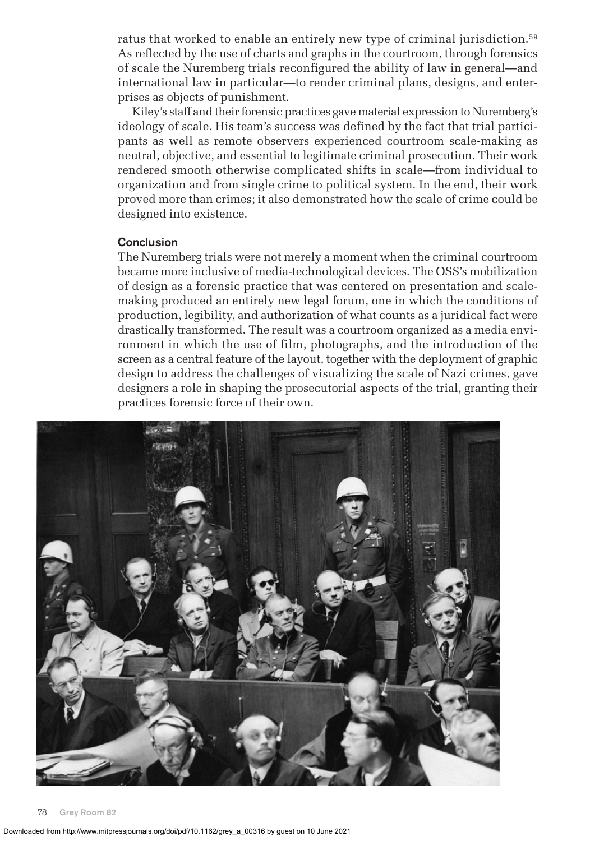ratus that worked to enable an entirely new type of criminal jurisdiction.<sup>59</sup> As reflected by the use of charts and graphs in the courtroom, through forensics of scale the Nuremberg trials reconfigured the ability of law in general—and international law in particular—to render criminal plans, designs, and enterprises as objects of punishment.

Kiley's staff and their forensic practices gave material expression to Nuremberg's ideology of scale. His team's success was defined by the fact that trial participants as well as remote observers experienced courtroom scale-making as neutral, objective, and essential to legitimate criminal prosecution. Their work rendered smooth otherwise complicated shifts in scale—from individual to organization and from single crime to political system. In the end, their work proved more than crimes; it also demonstrated how the scale of crime could be designed into existence.

### **Conclusion**

The Nuremberg trials were not merely a moment when the criminal courtroom became more inclusive of media-technological devices. The OSS's mobilization of design as a forensic practice that was centered on presentation and scalemaking produced an entirely new legal forum, one in which the conditions of production, legibility, and authorization of what counts as a juridical fact were drastically transformed. The result was a courtroom organized as a media environment in which the use of film, photographs, and the introduction of the screen as a central feature of the layout, together with the deployment of graphic design to address the challenges of visualizing the scale of Nazi crimes, gave designers a role in shaping the prosecutorial aspects of the trial, granting their practices forensic force of their own.

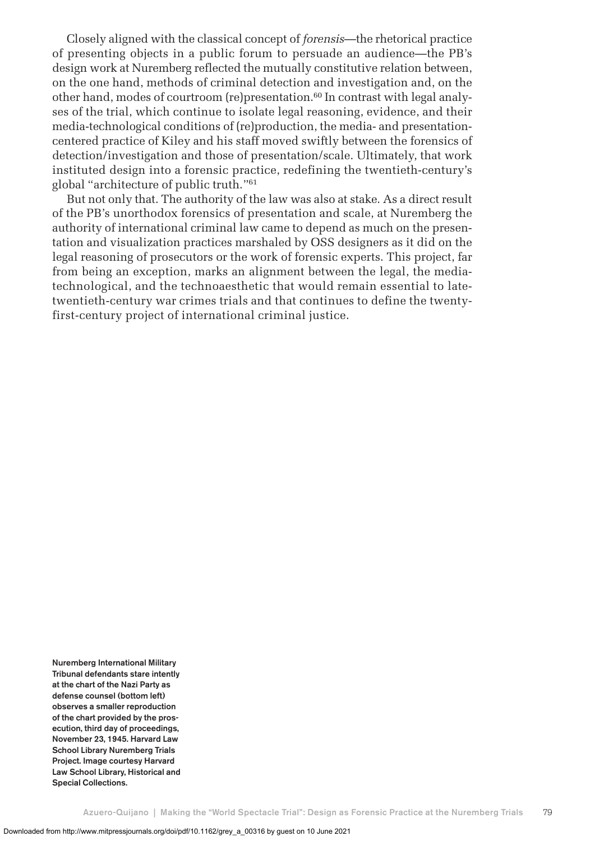Closely aligned with the classical concept of *forensis*—the rhetorical practice of presenting objects in a public forum to persuade an audience—the PB's design work at Nuremberg reflected the mutually constitutive relation between, on the one hand, methods of criminal detection and investigation and, on the other hand, modes of courtroom (re)presentation.60 In contrast with legal analyses of the trial, which continue to isolate legal reasoning, evidence, and their media-technological conditions of (re)production, the media- and presentationcentered practice of Kiley and his staff moved swiftly between the forensics of detection/investigation and those of presentation/scale. Ultimately, that work instituted design into a forensic practice, redefining the twentieth-century's global "architecture of public truth."61

But not only that. The authority of the law was also at stake. As a direct result of the PB's unorthodox forensics of presentation and scale, at Nuremberg the authority of international criminal law came to depend as much on the presentation and visualization practices marshaled by OSS designers as it did on the legal reasoning of prosecutors or the work of forensic experts. This project, far from being an exception, marks an alignment between the legal, the mediatechnological, and the technoaesthetic that would remain essential to latetwentieth-century war crimes trials and that continues to define the twentyfirst-century project of international criminal justice.

**Nuremberg International Military Tribunal defendants stare intently at the chart of the Nazi Party as defense counsel (bottom left) observes a smaller reproduction of the chart provided by the prosecution, third day of proceedings, November 23, 1945. Harvard Law School Library Nuremberg Trials Project. Image courtesy Harvard Law School Library, Historical and Special Collections.**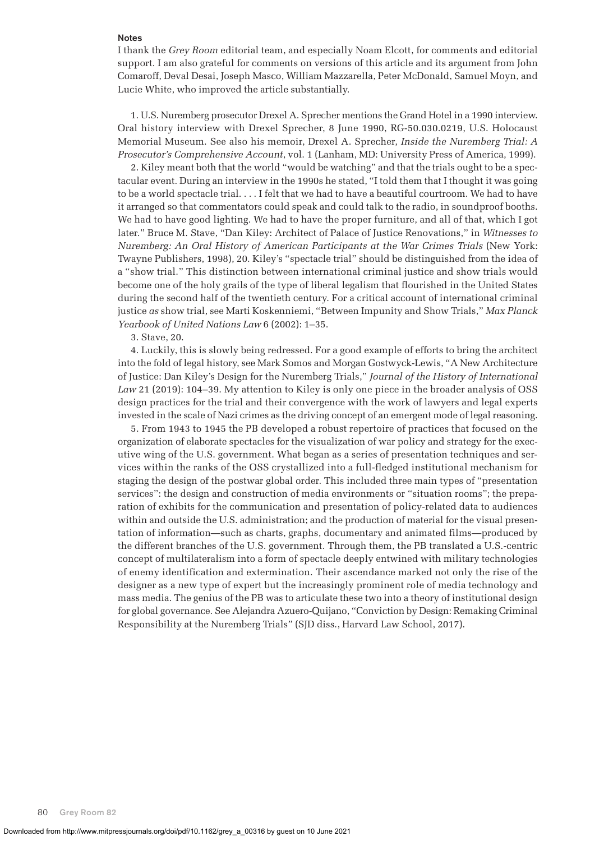#### **Notes**

I thank the *Grey Room* editorial team, and especially Noam Elcott, for comments and editorial support. I am also grateful for comments on versions of this article and its argument from John Comaroff, Deval Desai, Joseph Masco, William Mazzarella, Peter McDonald, Samuel Moyn, and Lucie White, who improved the article substantially.

1. U.S. Nuremberg prosecutor Drexel A. Sprecher mentions the Grand Hotel in a 1990 interview. Oral history interview with Drexel Sprecher, 8 June 1990, RG-50.030.0219, U.S. Holocaust Memorial Museum. See also his memoir, Drexel A. Sprecher, *Inside the Nuremberg Trial: A Prosecutor's Comprehensive Account*, vol. 1 (Lanham, MD: University Press of America, 1999).

2. Kiley meant both that the world "would be watching" and that the trials ought to be a spectacular event. During an interview in the 1990s he stated, "I told them that I thought it was going to be a world spectacle trial. . . . I felt that we had to have a beautiful courtroom. We had to have it arranged so that commentators could speak and could talk to the radio, in soundproof booths. We had to have good lighting. We had to have the proper furniture, and all of that, which I got later." Bruce M. Stave, "Dan Kiley: Architect of Palace of Justice Renovations," in *Witnesses to Nuremberg: An Oral History of American Participants at the War Crimes Trials* (New York: Twayne Publishers, 1998), 20. Kiley's "spectacle trial" should be distinguished from the idea of a "show trial." This distinction between international criminal justice and show trials would become one of the holy grails of the type of liberal legalism that flourished in the United States during the second half of the twentieth century. For a critical account of international criminal justice *as* show trial, see Marti Koskenniemi, "Between Impunity and Show Trials," *Max Planck Yearbook of United Nations Law* 6 (2002): 1–35.

3. Stave, 20.

4. Luckily, this is slowly being redressed. For a good example of efforts to bring the architect into the fold of legal history, see Mark Somos and Morgan Gostwyck-Lewis, "A New Architecture of Justice: Dan Kiley's Design for the Nuremberg Trials," *Journal of the History of International Law* 21 (2019): 104–39. My attention to Kiley is only one piece in the broader analysis of OSS design practices for the trial and their convergence with the work of lawyers and legal experts invested in the scale of Nazi crimes as the driving concept of an emergent mode of legal reasoning.

5. From 1943 to 1945 the PB developed a robust repertoire of practices that focused on the organization of elaborate spectacles for the visualization of war policy and strategy for the executive wing of the U.S. government. What began as a series of presentation techniques and services within the ranks of the OSS crystallized into a full-fledged institutional mechanism for staging the design of the postwar global order. This included three main types of "presentation services": the design and construction of media environments or "situation rooms"; the preparation of exhibits for the communication and presentation of policy-related data to audiences within and outside the U.S. administration; and the production of material for the visual presentation of information—such as charts, graphs, documentary and animated films—produced by the different branches of the U.S. government. Through them, the PB translated a U.S.-centric concept of multilateralism into a form of spectacle deeply entwined with military technologies of enemy identification and extermination. Their ascendance marked not only the rise of the designer as a new type of expert but the increasingly prominent role of media technology and mass media. The genius of the PB was to articulate these two into a theory of institutional design for global governance. See Alejandra Azuero-Quijano, "Conviction by Design: Remaking Criminal Responsibility at the Nuremberg Trials" (SJD diss., Harvard Law School, 2017).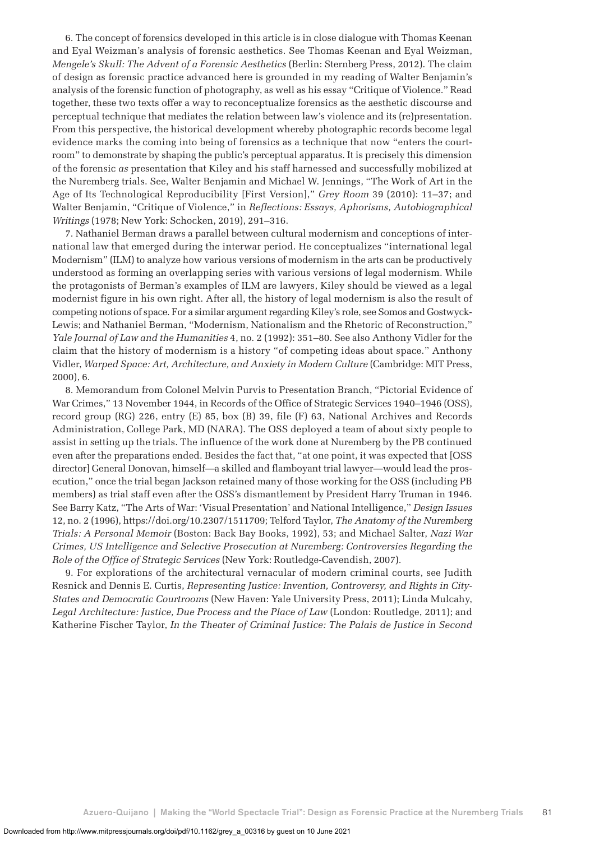6. The concept of forensics developed in this article is in close dialogue with Thomas Keenan and Eyal Weizman's analysis of forensic aesthetics. See Thomas Keenan and Eyal Weizman, *Mengele's Skull: The Advent of a Forensic Aesthetics* (Berlin: Sternberg Press, 2012). The claim of design as forensic practice advanced here is grounded in my reading of Walter Benjamin's analysis of the forensic function of photography, as well as his essay "Critique of Violence." Read together, these two texts offer a way to reconceptualize forensics as the aesthetic discourse and perceptual technique that mediates the relation between law's violence and its (re)presentation. From this perspective, the historical development whereby photographic records become legal evidence marks the coming into being of forensics as a technique that now "enters the courtroom" to demonstrate by shaping the public's perceptual apparatus. It is precisely this dimension of the forensic *as* presentation that Kiley and his staff harnessed and successfully mobilized at the Nuremberg trials. See, Walter Benjamin and Michael W. Jennings, "The Work of Art in the Age of Its Technological Reproducibility [First Version]," *Grey Room* 39 (2010): 11–37; and Walter Benjamin, "Critique of Violence," in *Reflections: Essays, Aphorisms, Autobiographical Writings* (1978; New York: Schocken, 2019), 291–316.

7. Nathaniel Berman draws a parallel between cultural modernism and conceptions of international law that emerged during the interwar period. He conceptualizes "international legal Modernism" (ILM) to analyze how various versions of modernism in the arts can be productively understood as forming an overlapping series with various versions of legal modernism. While the protagonists of Berman's examples of ILM are lawyers, Kiley should be viewed as a legal modernist figure in his own right. After all, the history of legal modernism is also the result of competing notions of space. For a similar argument regarding Kiley's role, see Somos and Gostwyck-Lewis; and Nathaniel Berman, "Modernism, Nationalism and the Rhetoric of Reconstruction," *Yale Journal of Law and the Humanities* 4, no. 2 (1992): 351–80. See also Anthony Vidler for the claim that the history of modernism is a history "of competing ideas about space." Anthony Vidler, *Warped Space: Art, Architecture, and Anxiety in Modern Culture* (Cambridge: MIT Press, 2000), 6.

8. Memorandum from Colonel Melvin Purvis to Presentation Branch, "Pictorial Evidence of War Crimes," 13 November 1944, in Records of the Office of Strategic Services 1940–1946 (OSS), record group (RG) 226, entry (E) 85, box (B) 39, file (F) 63, National Archives and Records Administration, College Park, MD (NARA). The OSS deployed a team of about sixty people to assist in setting up the trials. The influence of the work done at Nuremberg by the PB continued even after the preparations ended. Besides the fact that, "at one point, it was expected that [OSS director] General Donovan, himself—a skilled and flamboyant trial lawyer—would lead the prosecution," once the trial began Jackson retained many of those working for the OSS (including PB members) as trial staff even after the OSS's dismantlement by President Harry Truman in 1946. See Barry Katz, "The Arts of War: 'Visual Presentation' and National Intelligence," *Design Issues* 12, no. 2 (1996), https://doi.org/10.2307/1511709; Telford Taylor, *The Anatomy of the Nuremberg Trials: A Personal Memoir* (Boston: Back Bay Books, 1992), 53; and Michael Salter, *Nazi War Crimes, US Intelligence and Selective Prosecution at Nuremberg: Controversies Regarding the Role of the Office of Strategic Services* (New York: Routledge-Cavendish, 2007).

9. For explorations of the architectural vernacular of modern criminal courts, see Judith Resnick and Dennis E. Curtis, *Representing Justice: Invention, Controversy, and Rights in City-States and Democratic Courtrooms* (New Haven: Yale University Press, 2011); Linda Mulcahy, *Legal Architecture: Justice, Due Process and the Place of Law* (London: Routledge, 2011); and Katherine Fischer Taylor, *In the Theater of Criminal Justice: The Palais de Justice in Second*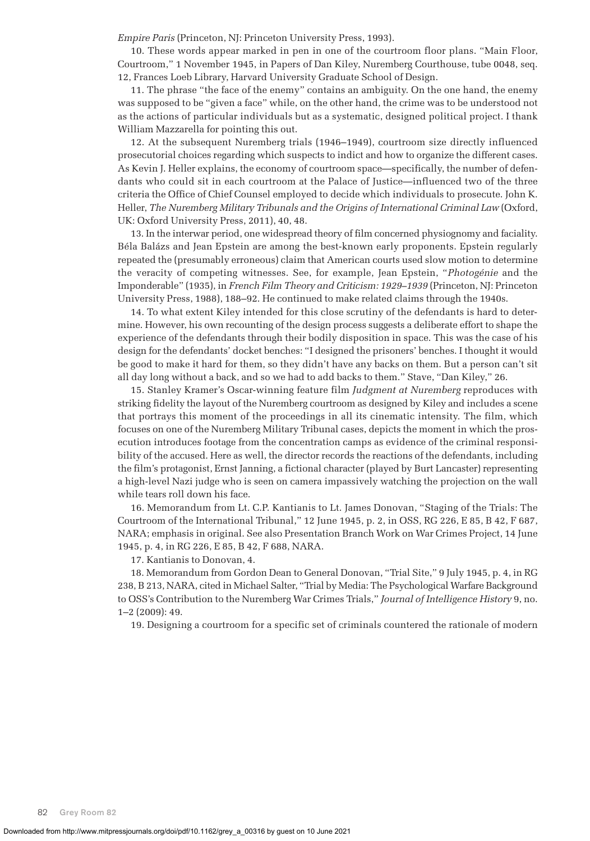*Empire Paris* (Princeton, NJ: Princeton University Press, 1993).

10. These words appear marked in pen in one of the courtroom floor plans. "Main Floor, Courtroom," 1 November 1945, in Papers of Dan Kiley, Nuremberg Courthouse, tube 0048, seq. 12, Frances Loeb Library, Harvard University Graduate School of Design.

11. The phrase "the face of the enemy" contains an ambiguity. On the one hand, the enemy was supposed to be "given a face" while, on the other hand, the crime was to be understood not as the actions of particular individuals but as a systematic, designed political project. I thank William Mazzarella for pointing this out.

12. At the subsequent Nuremberg trials (1946–1949), courtroom size directly influenced prosecutorial choices regarding which suspects to indict and how to organize the different cases. As Kevin J. Heller explains, the economy of courtroom space—specifically, the number of defendants who could sit in each courtroom at the Palace of Justice—influenced two of the three criteria the Office of Chief Counsel employed to decide which individuals to prosecute. John K. Heller, *The Nuremberg Military Tribunals and the Origins of International Criminal Law* (Oxford, UK: Oxford University Press, 2011), 40, 48.

13. In the interwar period, one widespread theory of film concerned physiognomy and faciality. Béla Balázs and Jean Epstein are among the best-known early proponents. Epstein regularly repeated the (presumably erroneous) claim that American courts used slow motion to determine the veracity of competing witnesses. See, for example, Jean Epstein, "*Photogénie* and the Imponderable" (1935), in *French Film Theory and Criticism: 1929–1939* (Princeton, NJ: Princeton University Press, 1988), 188–92. He continued to make related claims through the 1940s.

14. To what extent Kiley intended for this close scrutiny of the defendants is hard to determine. However, his own recounting of the design process suggests a deliberate effort to shape the experience of the defendants through their bodily disposition in space. This was the case of his design for the defendants' docket benches: "I designed the prisoners' benches. I thought it would be good to make it hard for them, so they didn't have any backs on them. But a person can't sit all day long without a back, and so we had to add backs to them." Stave, "Dan Kiley," 26.

15. Stanley Kramer's Oscar-winning feature film *Judgment at Nuremberg* reproduces with striking fidelity the layout of the Nuremberg courtroom as designed by Kiley and includes a scene that portrays this moment of the proceedings in all its cinematic intensity. The film, which focuses on one of the Nuremberg Military Tribunal cases, depicts the moment in which the prosecution introduces footage from the concentration camps as evidence of the criminal responsibility of the accused. Here as well, the director records the reactions of the defendants, including the film's protagonist, Ernst Janning, a fictional character (played by Burt Lancaster) representing a high-level Nazi judge who is seen on camera impassively watching the projection on the wall while tears roll down his face.

16. Memorandum from Lt. C.P. Kantianis to Lt. James Donovan, "Staging of the Trials: The Courtroom of the International Tribunal," 12 June 1945, p. 2, in OSS, RG 226, E 85, B 42, F 687, NARA; emphasis in original. See also Presentation Branch Work on War Crimes Project, 14 June 1945, p. 4, in RG 226, E 85, B 42, F 688, NARA.

17. Kantianis to Donovan, 4.

18. Memorandum from Gordon Dean to General Donovan, "Trial Site," 9 July 1945, p. 4, in RG 238, B 213, NARA, cited in Michael Salter, "Trial by Media: The Psychological Warfare Background to OSS's Contribution to the Nuremberg War Crimes Trials," *Journal of Intelligence History* 9, no. 1–2 (2009): 49.

19. Designing a courtroom for a specific set of criminals countered the rationale of modern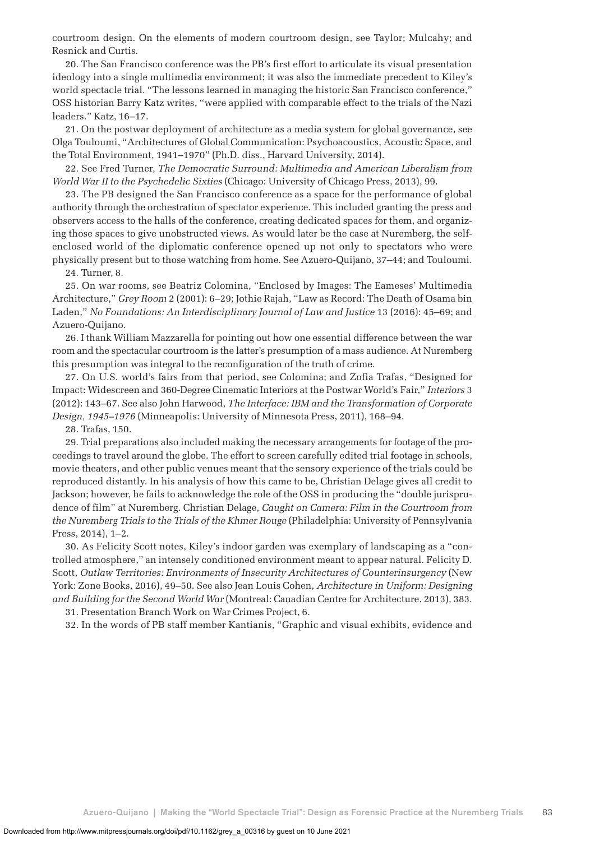courtroom design. On the elements of modern courtroom design, see Taylor; Mulcahy; and Resnick and Curtis.

20. The San Francisco conference was the PB's first effort to articulate its visual presentation ideology into a single multimedia environment; it was also the immediate precedent to Kiley's world spectacle trial. "The lessons learned in managing the historic San Francisco conference," OSS historian Barry Katz writes, "were applied with comparable effect to the trials of the Nazi leaders." Katz, 16–17.

21. On the postwar deployment of architecture as a media system for global governance, see Olga Touloumi, "Architectures of Global Communication: Psychoacoustics, Acoustic Space, and the Total Environment, 1941–1970" (Ph.D. diss., Harvard University, 2014).

22. See Fred Turner, *The Democratic Surround: Multimedia and American Liberalism from World War II to the Psychedelic Sixties* (Chicago: University of Chicago Press, 2013), 99.

23. The PB designed the San Francisco conference as a space for the performance of global authority through the orchestration of spectator experience. This included granting the press and observers access to the halls of the conference, creating dedicated spaces for them, and organizing those spaces to give unobstructed views. As would later be the case at Nuremberg, the selfenclosed world of the diplomatic conference opened up not only to spectators who were physically present but to those watching from home. See Azuero-Quijano, 37–44; and Touloumi.

24. Turner, 8.

25. On war rooms, see Beatriz Colomina, "Enclosed by Images: The Eameses' Multimedia Architecture," *Grey Room* 2 (2001): 6–29; Jothie Rajah, "Law as Record: The Death of Osama bin Laden," *No Foundations: An Interdisciplinary Journal of Law and Justice* 13 (2016): 45–69; and Azuero-Quijano.

26. I thank William Mazzarella for pointing out how one essential difference between the war room and the spectacular courtroom is the latter's presumption of a mass audience. At Nuremberg this presumption was integral to the reconfiguration of the truth of crime.

27. On U.S. world's fairs from that period, see Colomina; and Zofia Trafas, "Designed for Impact: Widescreen and 360-Degree Cinematic Interiors at the Postwar World's Fair," *Interiors* 3 (2012): 143–67. See also John Harwood, *The Interface: IBM and the Transformation of Corporate Design, 1945–1976* (Minneapolis: University of Minnesota Press, 2011), 168–94.

28. Trafas, 150.

29. Trial preparations also included making the necessary arrangements for footage of the proceedings to travel around the globe. The effort to screen carefully edited trial footage in schools, movie theaters, and other public venues meant that the sensory experience of the trials could be reproduced distantly. In his analysis of how this came to be, Christian Delage gives all credit to Jackson; however, he fails to acknowledge the role of the OSS in producing the "double jurisprudence of film" at Nuremberg. Christian Delage, *Caught on Camera: Film in the Courtroom from the Nuremberg Trials to the Trials of the Khmer Rouge* (Philadelphia: University of Pennsylvania Press, 2014), 1–2.

30. As Felicity Scott notes, Kiley's indoor garden was exemplary of landscaping as a "controlled atmosphere," an intensely conditioned environment meant to appear natural. Felicity D. Scott, *Outlaw Territories: Environments of Insecurity Architectures of Counterinsurgency* (New York: Zone Books, 2016), 49–50. See also Jean Louis Cohen, *Architecture in Uniform: Designing and Building for the Second World War* (Montreal: Canadian Centre for Architecture, 2013), 383. 31. Presentation Branch Work on War Crimes Project, 6.

32. In the words of PB staff member Kantianis, "Graphic and visual exhibits, evidence and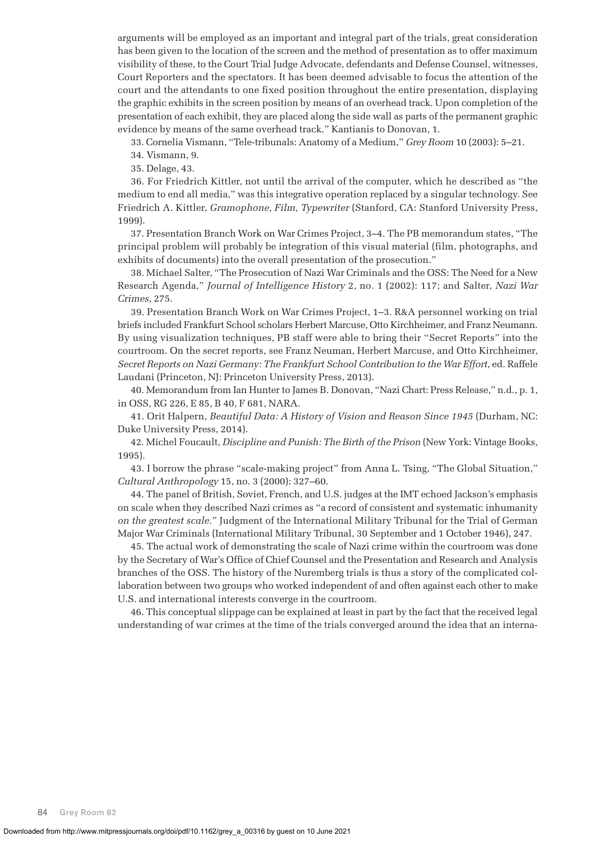arguments will be employed as an important and integral part of the trials, great consideration has been given to the location of the screen and the method of presentation as to offer maximum visibility of these, to the Court Trial Judge Advocate, defendants and Defense Counsel, witnesses, Court Reporters and the spectators. It has been deemed advisable to focus the attention of the court and the attendants to one fixed position throughout the entire presentation, displaying the graphic exhibits in the screen position by means of an overhead track. Upon completion of the presentation of each exhibit, they are placed along the side wall as parts of the permanent graphic evidence by means of the same overhead track." Kantianis to Donovan, 1.

33. Cornelia Vismann, "Tele-tribunals: Anatomy of a Medium," *Grey Room* 10 (2003): 5–21.

34. Vismann, 9.

35. Delage, 43.

36. For Friedrich Kittler, not until the arrival of the computer, which he described as "the medium to end all media," was this integrative operation replaced by a singular technology. See Friedrich A. Kittler, *Gramophone, Film, Typewriter* (Stanford, CA: Stanford University Press, 1999).

37. Presentation Branch Work on War Crimes Project, 3–4. The PB memorandum states, "The principal problem will probably be integration of this visual material (film, photographs, and exhibits of documents) into the overall presentation of the prosecution."

38. Michael Salter, "The Prosecution of Nazi War Criminals and the OSS: The Need for a New Research Agenda," *Journal of Intelligence History* 2, no. 1 (2002): 117; and Salter, *Nazi War Crimes*, 275.

39. Presentation Branch Work on War Crimes Project, 1–3. R&A personnel working on trial briefs included Frankfurt School scholars Herbert Marcuse, Otto Kirchheimer, and Franz Neumann. By using visualization techniques, PB staff were able to bring their "Secret Reports" into the courtroom. On the secret reports, see Franz Neuman, Herbert Marcuse, and Otto Kirchheimer, *Secret Reports on Nazi Germany: The Frankfurt School Contribution to the War Effort*, ed. Raffele Laudani (Princeton, NJ: Princeton University Press, 2013).

40. Memorandum from Ian Hunter to James B. Donovan, "Nazi Chart: Press Release," n.d., p. 1, in OSS, RG 226, E 85, B 40, F 681, NARA.

41. Orit Halpern, *Beautiful Data: A History of Vision and Reason Since 1945* (Durham, NC: Duke University Press, 2014).

42. Michel Foucault, *Discipline and Punish: The Birth of the Prison* (New York: Vintage Books, 1995).

43. I borrow the phrase "scale-making project" from Anna L. Tsing, "The Global Situation," *Cultural Anthropology* 15, no. 3 (2000): 327–60.

44. The panel of British, Soviet, French, and U.S. judges at the IMT echoed Jackson's emphasis on scale when they described Nazi crimes as "a record of consistent and systematic inhumanity *on the greatest scale*." Judgment of the International Military Tribunal for the Trial of German Major War Criminals (International Military Tribunal, 30 September and 1 October 1946), 247.

45. The actual work of demonstrating the scale of Nazi crime within the courtroom was done by the Secretary of War's Office of Chief Counsel and the Presentation and Research and Analysis branches of the OSS. The history of the Nuremberg trials is thus a story of the complicated collaboration between two groups who worked independent of and often against each other to make U.S. and international interests converge in the courtroom.

46. This conceptual slippage can be explained at least in part by the fact that the received legal understanding of war crimes at the time of the trials converged around the idea that an interna